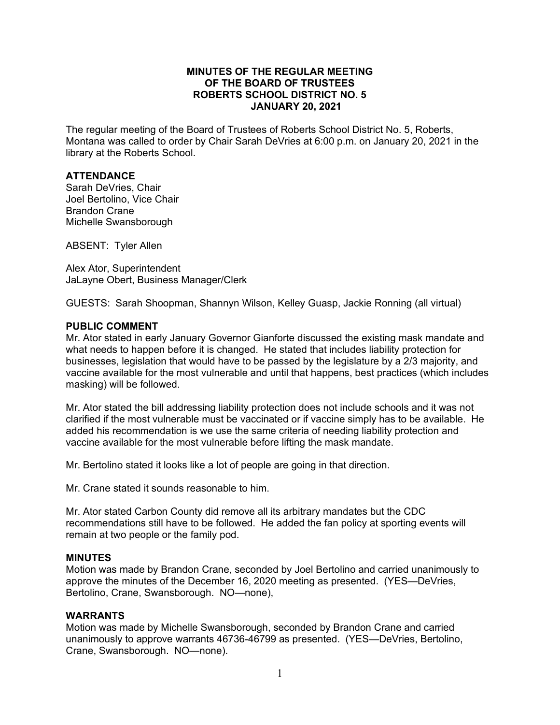#### **MINUTES OF THE REGULAR MEETING OF THE BOARD OF TRUSTEES ROBERTS SCHOOL DISTRICT NO. 5 JANUARY 20, 2021**

The regular meeting of the Board of Trustees of Roberts School District No. 5, Roberts, Montana was called to order by Chair Sarah DeVries at 6:00 p.m. on January 20, 2021 in the library at the Roberts School.

### **ATTENDANCE**

Sarah DeVries, Chair Joel Bertolino, Vice Chair Brandon Crane Michelle Swansborough

ABSENT: Tyler Allen

Alex Ator, Superintendent JaLayne Obert, Business Manager/Clerk

GUESTS: Sarah Shoopman, Shannyn Wilson, Kelley Guasp, Jackie Ronning (all virtual)

#### **PUBLIC COMMENT**

Mr. Ator stated in early January Governor Gianforte discussed the existing mask mandate and what needs to happen before it is changed. He stated that includes liability protection for businesses, legislation that would have to be passed by the legislature by a 2/3 majority, and vaccine available for the most vulnerable and until that happens, best practices (which includes masking) will be followed.

Mr. Ator stated the bill addressing liability protection does not include schools and it was not clarified if the most vulnerable must be vaccinated or if vaccine simply has to be available. He added his recommendation is we use the same criteria of needing liability protection and vaccine available for the most vulnerable before lifting the mask mandate.

Mr. Bertolino stated it looks like a lot of people are going in that direction.

Mr. Crane stated it sounds reasonable to him.

Mr. Ator stated Carbon County did remove all its arbitrary mandates but the CDC recommendations still have to be followed. He added the fan policy at sporting events will remain at two people or the family pod.

#### **MINUTES**

Motion was made by Brandon Crane, seconded by Joel Bertolino and carried unanimously to approve the minutes of the December 16, 2020 meeting as presented. (YES—DeVries, Bertolino, Crane, Swansborough. NO—none),

#### **WARRANTS**

Motion was made by Michelle Swansborough, seconded by Brandon Crane and carried unanimously to approve warrants 46736-46799 as presented. (YES—DeVries, Bertolino, Crane, Swansborough. NO—none).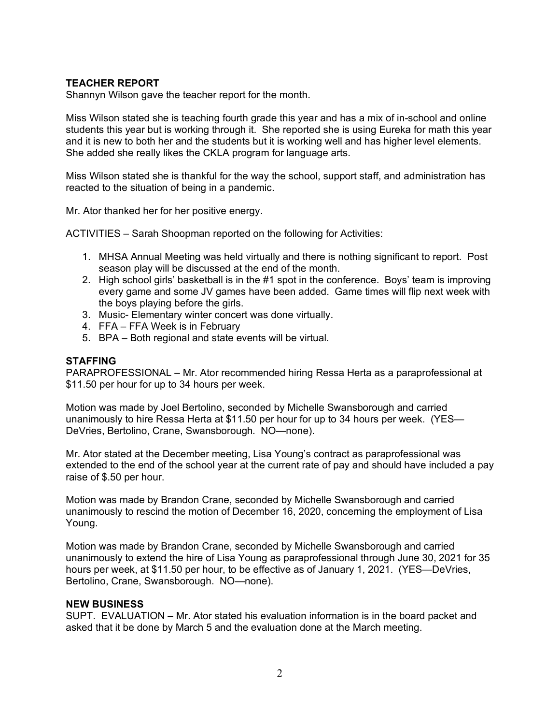# **TEACHER REPORT**

Shannyn Wilson gave the teacher report for the month.

Miss Wilson stated she is teaching fourth grade this year and has a mix of in-school and online students this year but is working through it. She reported she is using Eureka for math this year and it is new to both her and the students but it is working well and has higher level elements. She added she really likes the CKLA program for language arts.

Miss Wilson stated she is thankful for the way the school, support staff, and administration has reacted to the situation of being in a pandemic.

Mr. Ator thanked her for her positive energy.

ACTIVITIES – Sarah Shoopman reported on the following for Activities:

- 1. MHSA Annual Meeting was held virtually and there is nothing significant to report. Post season play will be discussed at the end of the month.
- 2. High school girls' basketball is in the #1 spot in the conference. Boys' team is improving every game and some JV games have been added. Game times will flip next week with the boys playing before the girls.
- 3. Music- Elementary winter concert was done virtually.
- 4. FFA FFA Week is in February
- 5. BPA Both regional and state events will be virtual.

#### **STAFFING**

PARAPROFESSIONAL – Mr. Ator recommended hiring Ressa Herta as a paraprofessional at \$11.50 per hour for up to 34 hours per week.

Motion was made by Joel Bertolino, seconded by Michelle Swansborough and carried unanimously to hire Ressa Herta at \$11.50 per hour for up to 34 hours per week. (YES— DeVries, Bertolino, Crane, Swansborough. NO—none).

Mr. Ator stated at the December meeting, Lisa Young's contract as paraprofessional was extended to the end of the school year at the current rate of pay and should have included a pay raise of \$.50 per hour.

Motion was made by Brandon Crane, seconded by Michelle Swansborough and carried unanimously to rescind the motion of December 16, 2020, concerning the employment of Lisa Young.

Motion was made by Brandon Crane, seconded by Michelle Swansborough and carried unanimously to extend the hire of Lisa Young as paraprofessional through June 30, 2021 for 35 hours per week, at \$11.50 per hour, to be effective as of January 1, 2021. (YES—DeVries, Bertolino, Crane, Swansborough. NO—none).

#### **NEW BUSINESS**

SUPT. EVALUATION – Mr. Ator stated his evaluation information is in the board packet and asked that it be done by March 5 and the evaluation done at the March meeting.